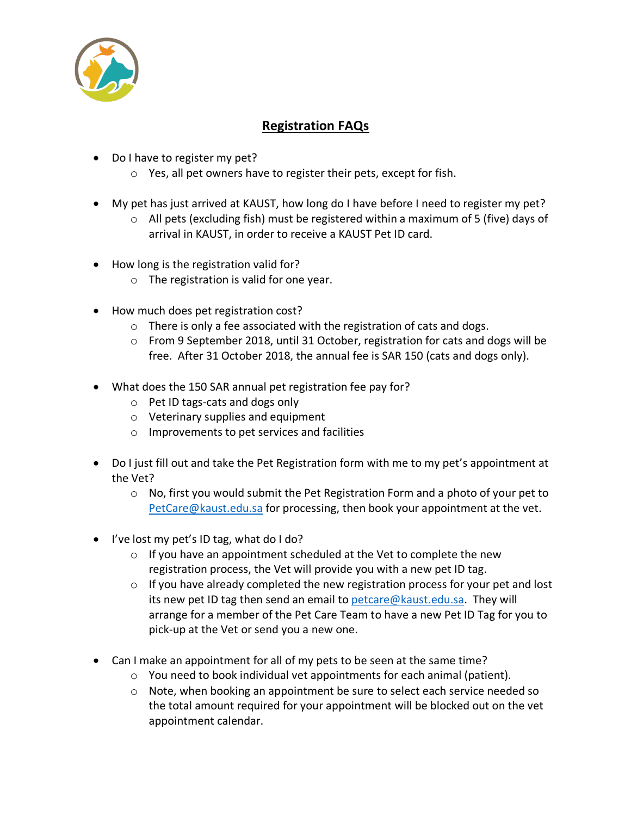

## **Registration FAQs**

- Do I have to register my pet?
	- o Yes, all pet owners have to register their pets, except for fish.
- My pet has just arrived at KAUST, how long do I have before I need to register my pet?
	- $\circ$  All pets (excluding fish) must be registered within a maximum of 5 (five) days of arrival in KAUST, in order to receive a KAUST Pet ID card.
- How long is the registration valid for?
	- o The registration is valid for one year.
- How much does pet registration cost?
	- $\circ$  There is only a fee associated with the registration of cats and dogs.
	- o From 9 September 2018, until 31 October, registration for cats and dogs will be free. After 31 October 2018, the annual fee is SAR 150 (cats and dogs only).
- What does the 150 SAR annual pet registration fee pay for?
	- o Pet ID tags-cats and dogs only
	- o Veterinary supplies and equipment
	- o Improvements to pet services and facilities
- Do I just fill out and take the Pet Registration form with me to my pet's appointment at the Vet?
	- o No, first you would submit the Pet Registration Form and a photo of your pet to PetCare@kaust.edu.sa for processing, then book your appointment at the vet.
- I've lost my pet's ID tag, what do I do?
	- o If you have an appointment scheduled at the Vet to complete the new registration process, the Vet will provide you with a new pet ID tag.
	- $\circ$  If you have already completed the new registration process for your pet and lost its new pet ID tag then send an email to petcare@kaust.edu.sa. They will arrange for a member of the Pet Care Team to have a new Pet ID Tag for you to pick-up at the Vet or send you a new one.
- Can I make an appointment for all of my pets to be seen at the same time?
	- o You need to book individual vet appointments for each animal (patient).
	- o Note, when booking an appointment be sure to select each service needed so the total amount required for your appointment will be blocked out on the vet appointment calendar.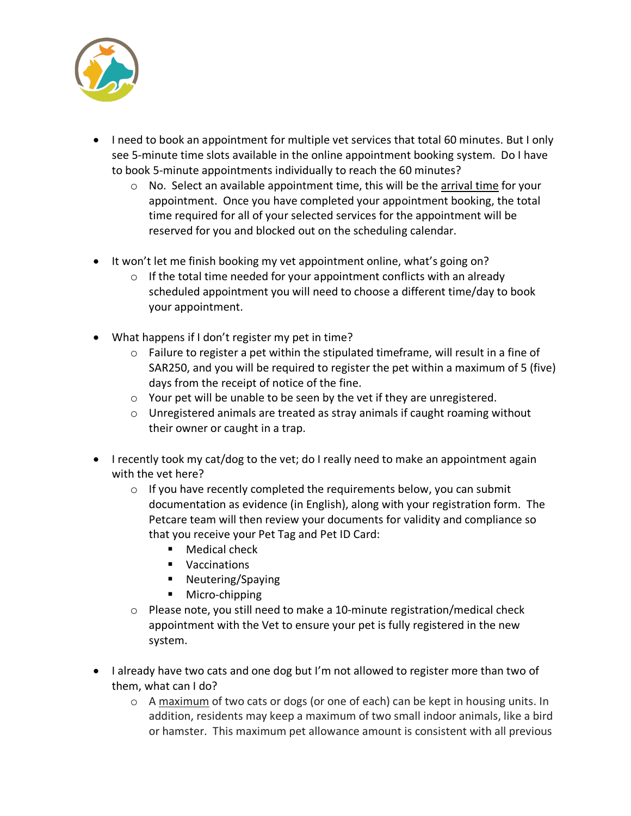

- I need to book an appointment for multiple vet services that total 60 minutes. But I only see 5-minute time slots available in the online appointment booking system. Do I have to book 5-minute appointments individually to reach the 60 minutes?
	- $\circ$  No. Select an available appointment time, this will be the arrival time for your appointment. Once you have completed your appointment booking, the total time required for all of your selected services for the appointment will be reserved for you and blocked out on the scheduling calendar.
- It won't let me finish booking my vet appointment online, what's going on?
	- $\circ$  If the total time needed for your appointment conflicts with an already scheduled appointment you will need to choose a different time/day to book your appointment.
- What happens if I don't register my pet in time?
	- $\circ$  Failure to register a pet within the stipulated timeframe, will result in a fine of SAR250, and you will be required to register the pet within a maximum of 5 (five) days from the receipt of notice of the fine.
	- o Your pet will be unable to be seen by the vet if they are unregistered.
	- o Unregistered animals are treated as stray animals if caught roaming without their owner or caught in a trap.
- I recently took my cat/dog to the vet; do I really need to make an appointment again with the vet here?
	- $\circ$  If you have recently completed the requirements below, you can submit documentation as evidence (in English), along with your registration form. The Petcare team will then review your documents for validity and compliance so that you receive your Pet Tag and Pet ID Card:
		- Medical check
		- Vaccinations
		- Neutering/Spaying
		- Micro-chipping
	- o Please note, you still need to make a 10-minute registration/medical check appointment with the Vet to ensure your pet is fully registered in the new system.
- I already have two cats and one dog but I'm not allowed to register more than two of them, what can I do?
	- o A maximum of two cats or dogs (or one of each) can be kept in housing units. In addition, residents may keep a maximum of two small indoor animals, like a bird or hamster. This maximum pet allowance amount is consistent with all previous